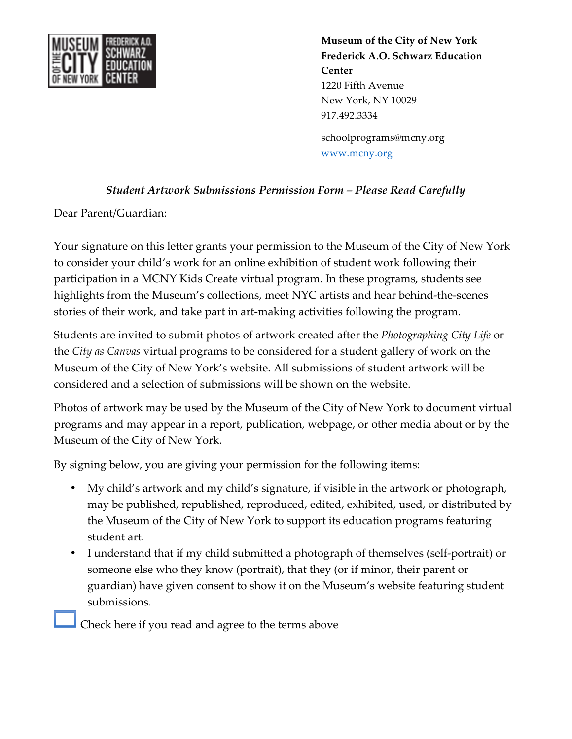

**Museum of the City of New York Frederick A.O. Schwarz Education Center** 1220 Fifth Avenue New York, NY 10029 917.492.3334 schoolprograms@mcny.org

www.mcny.org

## *Student Artwork Submissions Permission Form – Please Read Carefully*

Dear Parent/Guardian:

Your signature on this letter grants your permission to the Museum of the City of New York to consider your child's work for an online exhibition of student work following their participation in a MCNY Kids Create virtual program. In these programs, students see highlights from the Museum's collections, meet NYC artists and hear behind-the-scenes stories of their work, and take part in art-making activities following the program.

Students are invited to submit photos of artwork created after the *Photographing City Life* or the *City as Canvas* virtual programs to be considered for a student gallery of work on the Museum of the City of New York's website. All submissions of student artwork will be considered and a selection of submissions will be shown on the website.

Photos of artwork may be used by the Museum of the City of New York to document virtual programs and may appear in a report, publication, webpage, or other media about or by the Museum of the City of New York.

By signing below, you are giving your permission for the following items:

- My child's artwork and my child's signature, if visible in the artwork or photograph, may be published, republished, reproduced, edited, exhibited, used, or distributed by the Museum of the City of New York to support its education programs featuring student art.
- I understand that if my child submitted a photograph of themselves (self-portrait) or someone else who they know (portrait), that they (or if minor, their parent or guardian) have given consent to show it on the Museum's website featuring student submissions.

Check here if you read and agree to the terms above